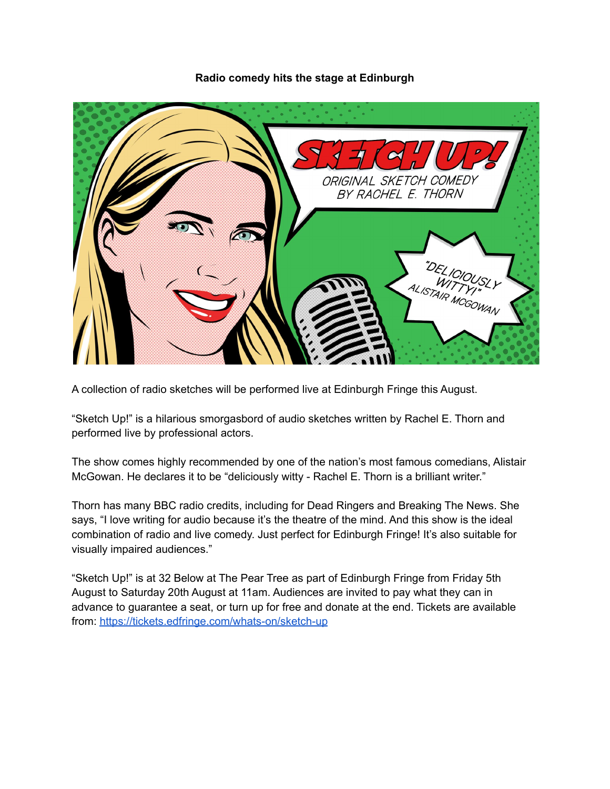**Radio comedy hits the stage at Edinburgh**



A collection of radio sketches will be performed live at Edinburgh Fringe this August.

"Sketch Up!" is a hilarious smorgasbord of audio sketches written by Rachel E. Thorn and performed live by professional actors.

The show comes highly recommended by one of the nation's most famous comedians, Alistair McGowan. He declares it to be "deliciously witty - Rachel E. Thorn is a brilliant writer."

Thorn has many BBC radio credits, including for Dead Ringers and Breaking The News. She says, "I love writing for audio because it's the theatre of the mind. And this show is the ideal combination of radio and live comedy. Just perfect for Edinburgh Fringe! It's also suitable for visually impaired audiences."

"Sketch Up!" is at 32 Below at The Pear Tree as part of Edinburgh Fringe from Friday 5th August to Saturday 20th August at 11am. Audiences are invited to pay what they can in advance to guarantee a seat, or turn up for free and donate at the end. Tickets are available from: <https://tickets.edfringe.com/whats-on/sketch-up>